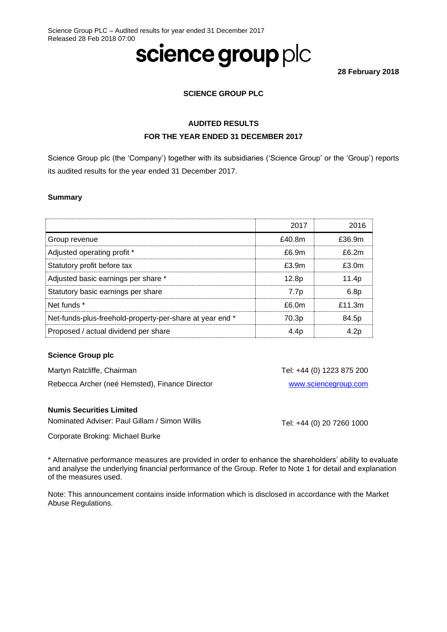# science group plc

**28 February 2018**

## **SCIENCE GROUP PLC**

## **AUDITED RESULTS FOR THE YEAR ENDED 31 DECEMBER 2017**

Science Group plc (the 'Company') together with its subsidiaries ('Science Group' or the 'Group') reports its audited results for the year ended 31 December 2017.

## **Summary**

|                                                          | 2017              | 2016             |
|----------------------------------------------------------|-------------------|------------------|
| Group revenue                                            | £40.8m            | £36.9m           |
| Adjusted operating profit *                              | £6.9m             | f62m             |
| Statutory profit before tax                              | £3.9m             | f30m             |
| Adjusted basic earnings per share *                      | 12.8 <sub>p</sub> | 11.4p            |
| Statutory basic earnings per share                       | 7.7 <sub>p</sub>  | 6.8 <sub>p</sub> |
| Net funds *                                              | £6.0m             | f11.3m           |
| Net-funds-plus-freehold-property-per-share at year end * | 70.3 <sub>p</sub> | 84.5p            |
| Proposed / actual dividend per share                     | 4.4p              | 4.2c             |

#### **Science Group plc**

Martyn Ratcliffe, Chairman

Rebecca Archer (neé Hemsted), Finance Director

## **Numis Securities Limited**

Nominated Adviser: Paul Gillam / Simon Willis

Corporate Broking: Michael Burke

\* Alternative performance measures are provided in order to enhance the shareholders' ability to evaluate and analyse the underlying financial performance of the Group. Refer to Note 1 for detail and explanation of the measures used.

Note: This announcement contains inside information which is disclosed in accordance with the Market Abuse Regulations.

Tel: +44 (0) 20 7260 1000

Tel: +44 (0) 1223 875 200

[www.sciencegroup.com](http://www.sciencegroup.com/)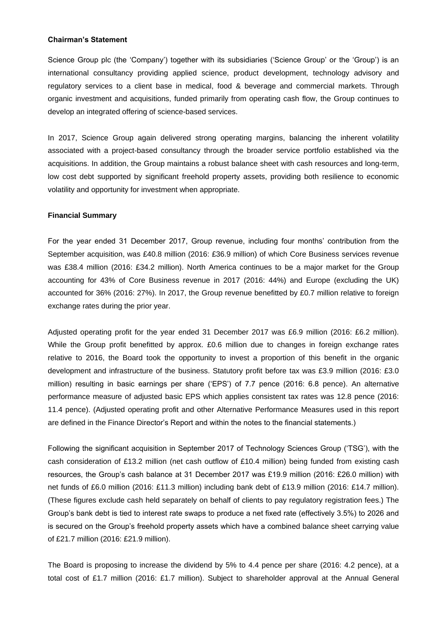#### **Chairman's Statement**

Science Group plc (the 'Company') together with its subsidiaries ('Science Group' or the 'Group') is an international consultancy providing applied science, product development, technology advisory and regulatory services to a client base in medical, food & beverage and commercial markets. Through organic investment and acquisitions, funded primarily from operating cash flow, the Group continues to develop an integrated offering of science-based services.

In 2017, Science Group again delivered strong operating margins, balancing the inherent volatility associated with a project-based consultancy through the broader service portfolio established via the acquisitions. In addition, the Group maintains a robust balance sheet with cash resources and long-term, low cost debt supported by significant freehold property assets, providing both resilience to economic volatility and opportunity for investment when appropriate.

#### **Financial Summary**

For the year ended 31 December 2017, Group revenue, including four months' contribution from the September acquisition, was £40.8 million (2016: £36.9 million) of which Core Business services revenue was £38.4 million (2016: £34.2 million). North America continues to be a major market for the Group accounting for 43% of Core Business revenue in 2017 (2016: 44%) and Europe (excluding the UK) accounted for 36% (2016: 27%). In 2017, the Group revenue benefitted by £0.7 million relative to foreign exchange rates during the prior year.

Adjusted operating profit for the year ended 31 December 2017 was £6.9 million (2016: £6.2 million). While the Group profit benefitted by approx. £0.6 million due to changes in foreign exchange rates relative to 2016, the Board took the opportunity to invest a proportion of this benefit in the organic development and infrastructure of the business. Statutory profit before tax was £3.9 million (2016: £3.0 million) resulting in basic earnings per share ('EPS') of 7.7 pence (2016: 6.8 pence). An alternative performance measure of adjusted basic EPS which applies consistent tax rates was 12.8 pence (2016: 11.4 pence). (Adjusted operating profit and other Alternative Performance Measures used in this report are defined in the Finance Director's Report and within the notes to the financial statements.)

Following the significant acquisition in September 2017 of Technology Sciences Group ('TSG'), with the cash consideration of £13.2 million (net cash outflow of £10.4 million) being funded from existing cash resources, the Group's cash balance at 31 December 2017 was £19.9 million (2016: £26.0 million) with net funds of £6.0 million (2016: £11.3 million) including bank debt of £13.9 million (2016: £14.7 million). (These figures exclude cash held separately on behalf of clients to pay regulatory registration fees.) The Group's bank debt is tied to interest rate swaps to produce a net fixed rate (effectively 3.5%) to 2026 and is secured on the Group's freehold property assets which have a combined balance sheet carrying value of £21.7 million (2016: £21.9 million).

The Board is proposing to increase the dividend by 5% to 4.4 pence per share (2016: 4.2 pence), at a total cost of £1.7 million (2016: £1.7 million). Subject to shareholder approval at the Annual General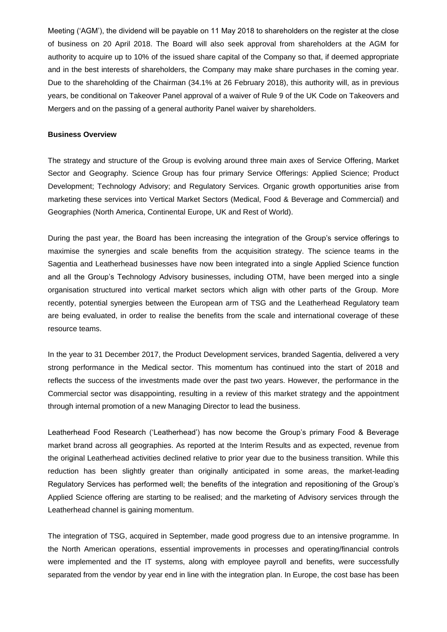Meeting ('AGM'), the dividend will be payable on 11 May 2018 to shareholders on the register at the close of business on 20 April 2018. The Board will also seek approval from shareholders at the AGM for authority to acquire up to 10% of the issued share capital of the Company so that, if deemed appropriate and in the best interests of shareholders, the Company may make share purchases in the coming year. Due to the shareholding of the Chairman (34.1% at 26 February 2018), this authority will, as in previous years, be conditional on Takeover Panel approval of a waiver of Rule 9 of the UK Code on Takeovers and Mergers and on the passing of a general authority Panel waiver by shareholders.

#### **Business Overview**

The strategy and structure of the Group is evolving around three main axes of Service Offering, Market Sector and Geography. Science Group has four primary Service Offerings: Applied Science; Product Development; Technology Advisory; and Regulatory Services. Organic growth opportunities arise from marketing these services into Vertical Market Sectors (Medical, Food & Beverage and Commercial) and Geographies (North America, Continental Europe, UK and Rest of World).

During the past year, the Board has been increasing the integration of the Group's service offerings to maximise the synergies and scale benefits from the acquisition strategy. The science teams in the Sagentia and Leatherhead businesses have now been integrated into a single Applied Science function and all the Group's Technology Advisory businesses, including OTM, have been merged into a single organisation structured into vertical market sectors which align with other parts of the Group. More recently, potential synergies between the European arm of TSG and the Leatherhead Regulatory team are being evaluated, in order to realise the benefits from the scale and international coverage of these resource teams.

In the year to 31 December 2017, the Product Development services, branded Sagentia, delivered a very strong performance in the Medical sector. This momentum has continued into the start of 2018 and reflects the success of the investments made over the past two years. However, the performance in the Commercial sector was disappointing, resulting in a review of this market strategy and the appointment through internal promotion of a new Managing Director to lead the business.

Leatherhead Food Research ('Leatherhead') has now become the Group's primary Food & Beverage market brand across all geographies. As reported at the Interim Results and as expected, revenue from the original Leatherhead activities declined relative to prior year due to the business transition. While this reduction has been slightly greater than originally anticipated in some areas, the market-leading Regulatory Services has performed well; the benefits of the integration and repositioning of the Group's Applied Science offering are starting to be realised; and the marketing of Advisory services through the Leatherhead channel is gaining momentum.

The integration of TSG, acquired in September, made good progress due to an intensive programme. In the North American operations, essential improvements in processes and operating/financial controls were implemented and the IT systems, along with employee payroll and benefits, were successfully separated from the vendor by year end in line with the integration plan. In Europe, the cost base has been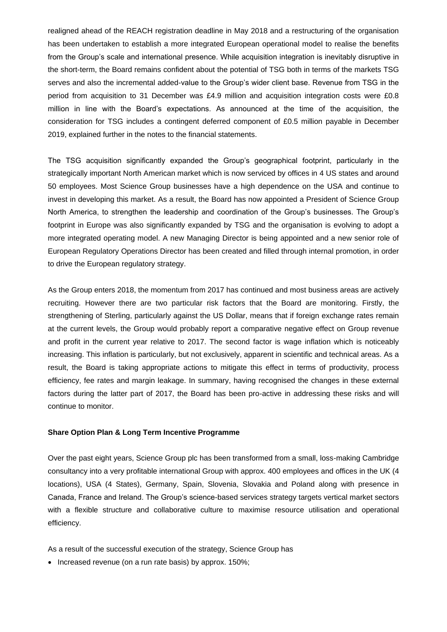realigned ahead of the REACH registration deadline in May 2018 and a restructuring of the organisation has been undertaken to establish a more integrated European operational model to realise the benefits from the Group's scale and international presence. While acquisition integration is inevitably disruptive in the short-term, the Board remains confident about the potential of TSG both in terms of the markets TSG serves and also the incremental added-value to the Group's wider client base. Revenue from TSG in the period from acquisition to 31 December was £4.9 million and acquisition integration costs were £0.8 million in line with the Board's expectations. As announced at the time of the acquisition, the consideration for TSG includes a contingent deferred component of £0.5 million payable in December 2019, explained further in the notes to the financial statements.

The TSG acquisition significantly expanded the Group's geographical footprint, particularly in the strategically important North American market which is now serviced by offices in 4 US states and around 50 employees. Most Science Group businesses have a high dependence on the USA and continue to invest in developing this market. As a result, the Board has now appointed a President of Science Group North America, to strengthen the leadership and coordination of the Group's businesses. The Group's footprint in Europe was also significantly expanded by TSG and the organisation is evolving to adopt a more integrated operating model. A new Managing Director is being appointed and a new senior role of European Regulatory Operations Director has been created and filled through internal promotion, in order to drive the European regulatory strategy.

As the Group enters 2018, the momentum from 2017 has continued and most business areas are actively recruiting. However there are two particular risk factors that the Board are monitoring. Firstly, the strengthening of Sterling, particularly against the US Dollar, means that if foreign exchange rates remain at the current levels, the Group would probably report a comparative negative effect on Group revenue and profit in the current year relative to 2017. The second factor is wage inflation which is noticeably increasing. This inflation is particularly, but not exclusively, apparent in scientific and technical areas. As a result, the Board is taking appropriate actions to mitigate this effect in terms of productivity, process efficiency, fee rates and margin leakage. In summary, having recognised the changes in these external factors during the latter part of 2017, the Board has been pro-active in addressing these risks and will continue to monitor.

#### **Share Option Plan & Long Term Incentive Programme**

Over the past eight years, Science Group plc has been transformed from a small, loss-making Cambridge consultancy into a very profitable international Group with approx. 400 employees and offices in the UK (4 locations), USA (4 States), Germany, Spain, Slovenia, Slovakia and Poland along with presence in Canada, France and Ireland. The Group's science-based services strategy targets vertical market sectors with a flexible structure and collaborative culture to maximise resource utilisation and operational efficiency.

As a result of the successful execution of the strategy, Science Group has

• Increased revenue (on a run rate basis) by approx. 150%;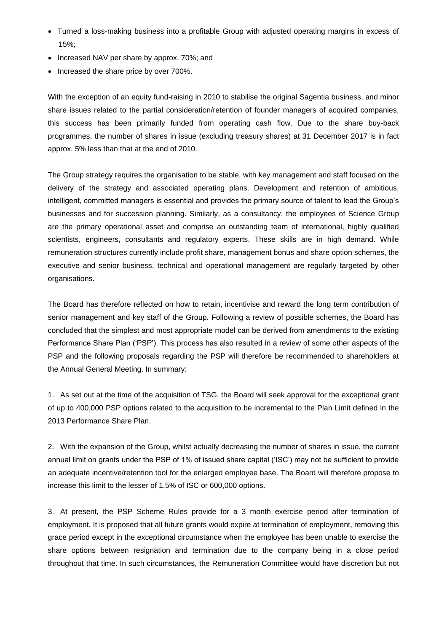- Turned a loss-making business into a profitable Group with adjusted operating margins in excess of 15%;
- Increased NAV per share by approx. 70%; and
- Increased the share price by over 700%.

With the exception of an equity fund-raising in 2010 to stabilise the original Sagentia business, and minor share issues related to the partial consideration/retention of founder managers of acquired companies, this success has been primarily funded from operating cash flow. Due to the share buy-back programmes, the number of shares in issue (excluding treasury shares) at 31 December 2017 is in fact approx. 5% less than that at the end of 2010.

The Group strategy requires the organisation to be stable, with key management and staff focused on the delivery of the strategy and associated operating plans. Development and retention of ambitious, intelligent, committed managers is essential and provides the primary source of talent to lead the Group's businesses and for succession planning. Similarly, as a consultancy, the employees of Science Group are the primary operational asset and comprise an outstanding team of international, highly qualified scientists, engineers, consultants and regulatory experts. These skills are in high demand. While remuneration structures currently include profit share, management bonus and share option schemes, the executive and senior business, technical and operational management are regularly targeted by other organisations.

The Board has therefore reflected on how to retain, incentivise and reward the long term contribution of senior management and key staff of the Group. Following a review of possible schemes, the Board has concluded that the simplest and most appropriate model can be derived from amendments to the existing Performance Share Plan ('PSP'). This process has also resulted in a review of some other aspects of the PSP and the following proposals regarding the PSP will therefore be recommended to shareholders at the Annual General Meeting. In summary:

1. As set out at the time of the acquisition of TSG, the Board will seek approval for the exceptional grant of up to 400,000 PSP options related to the acquisition to be incremental to the Plan Limit defined in the 2013 Performance Share Plan.

2. With the expansion of the Group, whilst actually decreasing the number of shares in issue, the current annual limit on grants under the PSP of 1% of issued share capital ('ISC') may not be sufficient to provide an adequate incentive/retention tool for the enlarged employee base. The Board will therefore propose to increase this limit to the lesser of 1.5% of ISC or 600,000 options.

3. At present, the PSP Scheme Rules provide for a 3 month exercise period after termination of employment. It is proposed that all future grants would expire at termination of employment, removing this grace period except in the exceptional circumstance when the employee has been unable to exercise the share options between resignation and termination due to the company being in a close period throughout that time. In such circumstances, the Remuneration Committee would have discretion but not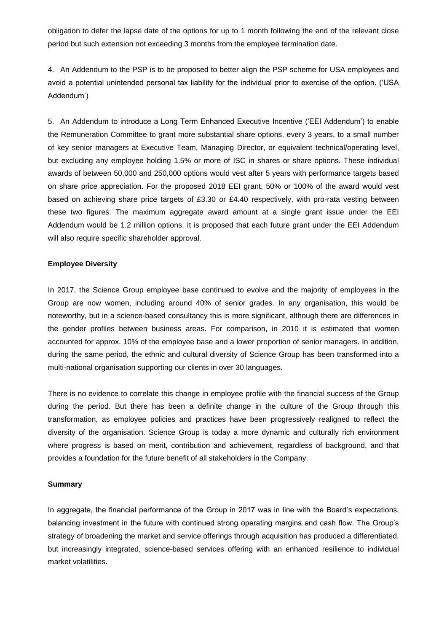obligation to defer the lapse date of the options for up to 1 month following the end of the relevant close period but such extension not exceeding 3 months from the employee termination date.

4. An Addendum to the PSP is to be proposed to better align the PSP scheme for USA employees and avoid a potential unintended personal tax liability for the individual prior to exercise of the option. ('USA Addendum')

5. An Addendum to introduce a Long Term Enhanced Executive Incentive ('EEI Addendum') to enable the Remuneration Committee to grant more substantial share options, every 3 years, to a small number of key senior managers at Executive Team, Managing Director, or equivalent technical/operating level, but excluding any employee holding 1.5% or more of ISC in shares or share options. These individual awards of between 50,000 and 250,000 options would vest after 5 years with performance targets based on share price appreciation. For the proposed 2018 EEI grant, 50% or 100% of the award would vest based on achieving share price targets of £3.30 or £4.40 respectively, with pro-rata vesting between these two figures. The maximum aggregate award amount at a single grant issue under the EEI Addendum would be 1.2 million options. It is proposed that each future grant under the EEI Addendum will also require specific shareholder approval.

## **Employee Diversity**

In 2017, the Science Group employee base continued to evolve and the majority of employees in the Group are now women, including around 40% of senior grades. In any organisation, this would be noteworthy, but in a science-based consultancy this is more significant, although there are differences in the gender profiles between business areas. For comparison, in 2010 it is estimated that women accounted for approx. 10% of the employee base and a lower proportion of senior managers. In addition, during the same period, the ethnic and cultural diversity of Science Group has been transformed into a multi-national organisation supporting our clients in over 30 languages.

There is no evidence to correlate this change in employee profile with the financial success of the Group during the period. But there has been a definite change in the culture of the Group through this transformation, as employee policies and practices have been progressively realigned to reflect the diversity of the organisation. Science Group is today a more dynamic and culturally rich environment where progress is based on merit, contribution and achievement, regardless of background, and that provides a foundation for the future benefit of all stakeholders in the Company.

#### **Summary**

In aggregate, the financial performance of the Group in 2017 was in line with the Board's expectations, balancing investment in the future with continued strong operating margins and cash flow. The Group's strategy of broadening the market and service offerings through acquisition has produced a differentiated, but increasingly integrated, science-based services offering with an enhanced resilience to individual market volatilities.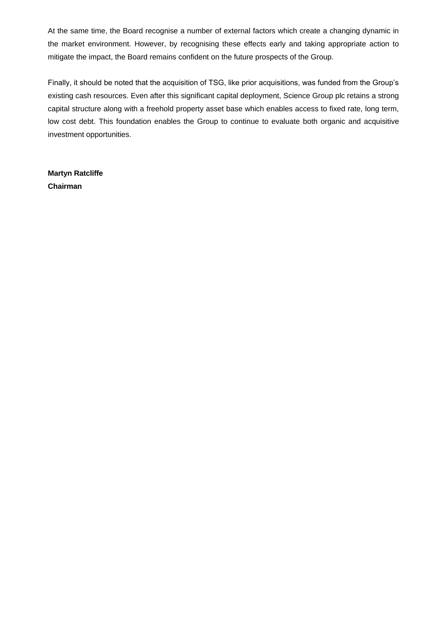At the same time, the Board recognise a number of external factors which create a changing dynamic in the market environment. However, by recognising these effects early and taking appropriate action to mitigate the impact, the Board remains confident on the future prospects of the Group.

Finally, it should be noted that the acquisition of TSG, like prior acquisitions, was funded from the Group's existing cash resources. Even after this significant capital deployment, Science Group plc retains a strong capital structure along with a freehold property asset base which enables access to fixed rate, long term, low cost debt. This foundation enables the Group to continue to evaluate both organic and acquisitive investment opportunities.

**Martyn Ratcliffe Chairman**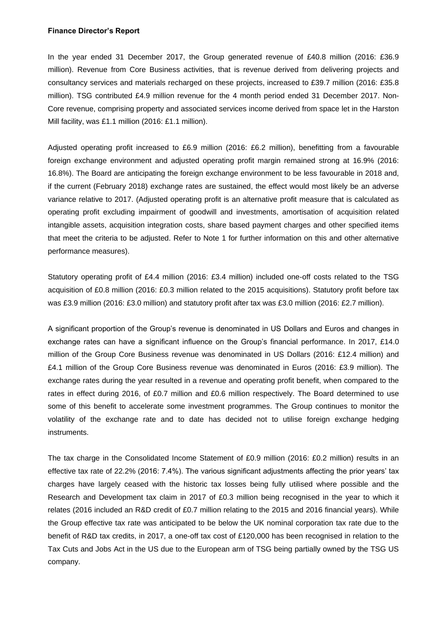#### **Finance Director's Report**

In the year ended 31 December 2017, the Group generated revenue of £40.8 million (2016: £36.9 million). Revenue from Core Business activities, that is revenue derived from delivering projects and consultancy services and materials recharged on these projects, increased to £39.7 million (2016: £35.8 million). TSG contributed £4.9 million revenue for the 4 month period ended 31 December 2017. Non-Core revenue, comprising property and associated services income derived from space let in the Harston Mill facility, was £1.1 million (2016: £1.1 million).

Adjusted operating profit increased to £6.9 million (2016: £6.2 million), benefitting from a favourable foreign exchange environment and adjusted operating profit margin remained strong at 16.9% (2016: 16.8%). The Board are anticipating the foreign exchange environment to be less favourable in 2018 and, if the current (February 2018) exchange rates are sustained, the effect would most likely be an adverse variance relative to 2017. (Adjusted operating profit is an alternative profit measure that is calculated as operating profit excluding impairment of goodwill and investments, amortisation of acquisition related intangible assets, acquisition integration costs, share based payment charges and other specified items that meet the criteria to be adjusted. Refer to Note 1 for further information on this and other alternative performance measures).

Statutory operating profit of £4.4 million (2016: £3.4 million) included one-off costs related to the TSG acquisition of £0.8 million (2016: £0.3 million related to the 2015 acquisitions). Statutory profit before tax was £3.9 million (2016: £3.0 million) and statutory profit after tax was £3.0 million (2016: £2.7 million).

A significant proportion of the Group's revenue is denominated in US Dollars and Euros and changes in exchange rates can have a significant influence on the Group's financial performance. In 2017, £14.0 million of the Group Core Business revenue was denominated in US Dollars (2016: £12.4 million) and £4.1 million of the Group Core Business revenue was denominated in Euros (2016: £3.9 million). The exchange rates during the year resulted in a revenue and operating profit benefit, when compared to the rates in effect during 2016, of £0.7 million and £0.6 million respectively. The Board determined to use some of this benefit to accelerate some investment programmes. The Group continues to monitor the volatility of the exchange rate and to date has decided not to utilise foreign exchange hedging instruments.

The tax charge in the Consolidated Income Statement of £0.9 million (2016: £0.2 million) results in an effective tax rate of 22.2% (2016: 7.4%). The various significant adjustments affecting the prior years' tax charges have largely ceased with the historic tax losses being fully utilised where possible and the Research and Development tax claim in 2017 of £0.3 million being recognised in the year to which it relates (2016 included an R&D credit of £0.7 million relating to the 2015 and 2016 financial years). While the Group effective tax rate was anticipated to be below the UK nominal corporation tax rate due to the benefit of R&D tax credits, in 2017, a one-off tax cost of £120,000 has been recognised in relation to the Tax Cuts and Jobs Act in the US due to the European arm of TSG being partially owned by the TSG US company.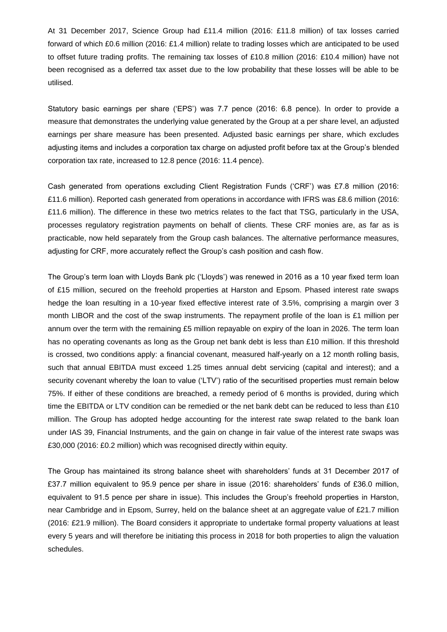At 31 December 2017, Science Group had £11.4 million (2016: £11.8 million) of tax losses carried forward of which £0.6 million (2016: £1.4 million) relate to trading losses which are anticipated to be used to offset future trading profits. The remaining tax losses of £10.8 million (2016: £10.4 million) have not been recognised as a deferred tax asset due to the low probability that these losses will be able to be utilised.

Statutory basic earnings per share ('EPS') was 7.7 pence (2016: 6.8 pence). In order to provide a measure that demonstrates the underlying value generated by the Group at a per share level, an adjusted earnings per share measure has been presented. Adjusted basic earnings per share, which excludes adjusting items and includes a corporation tax charge on adjusted profit before tax at the Group's blended corporation tax rate, increased to 12.8 pence (2016: 11.4 pence).

Cash generated from operations excluding Client Registration Funds ('CRF') was £7.8 million (2016: £11.6 million). Reported cash generated from operations in accordance with IFRS was £8.6 million (2016: £11.6 million). The difference in these two metrics relates to the fact that TSG, particularly in the USA, processes regulatory registration payments on behalf of clients. These CRF monies are, as far as is practicable, now held separately from the Group cash balances. The alternative performance measures, adjusting for CRF, more accurately reflect the Group's cash position and cash flow.

The Group's term loan with Lloyds Bank plc ('Lloyds') was renewed in 2016 as a 10 year fixed term loan of £15 million, secured on the freehold properties at Harston and Epsom. Phased interest rate swaps hedge the loan resulting in a 10-year fixed effective interest rate of 3.5%, comprising a margin over 3 month LIBOR and the cost of the swap instruments. The repayment profile of the loan is £1 million per annum over the term with the remaining £5 million repayable on expiry of the loan in 2026. The term loan has no operating covenants as long as the Group net bank debt is less than £10 million. If this threshold is crossed, two conditions apply: a financial covenant, measured half-yearly on a 12 month rolling basis, such that annual EBITDA must exceed 1.25 times annual debt servicing (capital and interest); and a security covenant whereby the loan to value ('LTV') ratio of the securitised properties must remain below 75%. If either of these conditions are breached, a remedy period of 6 months is provided, during which time the EBITDA or LTV condition can be remedied or the net bank debt can be reduced to less than £10 million. The Group has adopted hedge accounting for the interest rate swap related to the bank loan under IAS 39, Financial Instruments, and the gain on change in fair value of the interest rate swaps was £30,000 (2016: £0.2 million) which was recognised directly within equity.

The Group has maintained its strong balance sheet with shareholders' funds at 31 December 2017 of £37.7 million equivalent to 95.9 pence per share in issue (2016: shareholders' funds of £36.0 million, equivalent to 91.5 pence per share in issue). This includes the Group's freehold properties in Harston, near Cambridge and in Epsom, Surrey, held on the balance sheet at an aggregate value of £21.7 million (2016: £21.9 million). The Board considers it appropriate to undertake formal property valuations at least every 5 years and will therefore be initiating this process in 2018 for both properties to align the valuation schedules.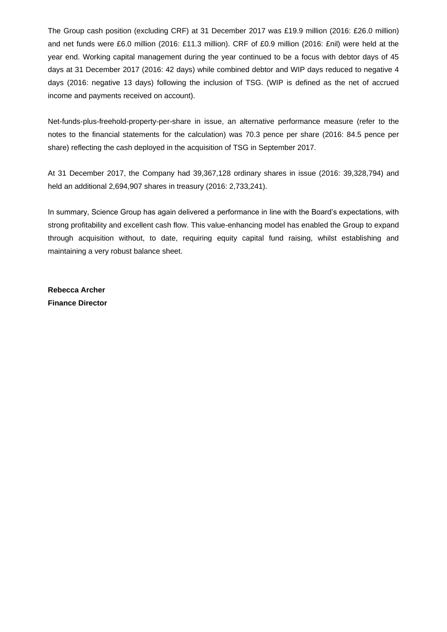The Group cash position (excluding CRF) at 31 December 2017 was £19.9 million (2016: £26.0 million) and net funds were £6.0 million (2016: £11.3 million). CRF of £0.9 million (2016: £nil) were held at the year end. Working capital management during the year continued to be a focus with debtor days of 45 days at 31 December 2017 (2016: 42 days) while combined debtor and WIP days reduced to negative 4 days (2016: negative 13 days) following the inclusion of TSG. (WIP is defined as the net of accrued income and payments received on account).

Net-funds-plus-freehold-property-per-share in issue, an alternative performance measure (refer to the notes to the financial statements for the calculation) was 70.3 pence per share (2016: 84.5 pence per share) reflecting the cash deployed in the acquisition of TSG in September 2017.

At 31 December 2017, the Company had 39,367,128 ordinary shares in issue (2016: 39,328,794) and held an additional 2,694,907 shares in treasury (2016: 2,733,241).

In summary, Science Group has again delivered a performance in line with the Board's expectations, with strong profitability and excellent cash flow. This value-enhancing model has enabled the Group to expand through acquisition without, to date, requiring equity capital fund raising, whilst establishing and maintaining a very robust balance sheet.

**Rebecca Archer Finance Director**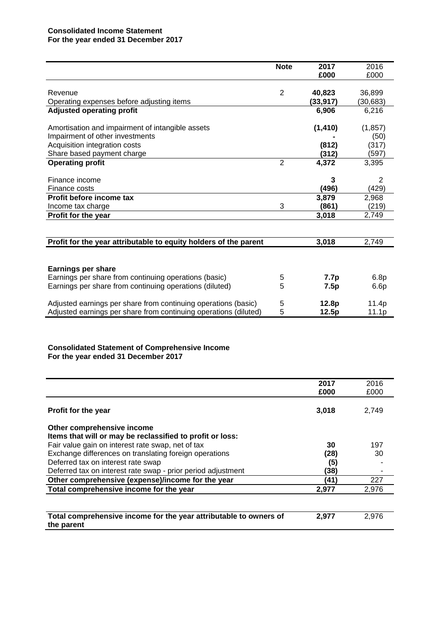## **Consolidated Income Statement For the year ended 31 December 2017**

|                                                                  | <b>Note</b>    | 2017     | 2016     |
|------------------------------------------------------------------|----------------|----------|----------|
|                                                                  |                | £000     | £000     |
|                                                                  |                |          |          |
| Revenue                                                          | $\overline{2}$ | 40,823   | 36,899   |
| Operating expenses before adjusting items                        |                | (33,917) | (30,683) |
| <b>Adjusted operating profit</b>                                 |                | 6,906    | 6,216    |
|                                                                  |                |          |          |
| Amortisation and impairment of intangible assets                 |                | (1, 410) | (1, 857) |
| Impairment of other investments                                  |                |          | (50)     |
| Acquisition integration costs                                    |                | (812)    | (317)    |
| Share based payment charge                                       |                | (312)    | (597)    |
| <b>Operating profit</b>                                          | $\overline{2}$ | 4,372    | 3,395    |
|                                                                  |                |          |          |
| Finance income                                                   |                | 3        | 2        |
| Finance costs                                                    |                | (496)    | (429)    |
| Profit before income tax                                         |                | 3,879    | 2,968    |
| Income tax charge                                                | 3              | (861)    | (219)    |
| Profit for the year                                              |                | 3,018    | 2,749    |
|                                                                  |                |          |          |
| Profit for the year attributable to equity holders of the parent |                | 3,018    | 2,749    |
|                                                                  |                |          |          |
| <b>Earnings per share</b>                                        |                |          |          |
| Earnings per share from continuing operations (basic)            | 5              | 7.7p     | 6.8p     |
| Earnings per share from continuing operations (diluted)          | 5              | 7.5p     | 6.6p     |
| Adjusted earnings per share from continuing operations (basic)   | 5              | 12.8p    | 11.4p    |
| Adjusted earnings per share from continuing operations (diluted) | 5              | 12.5p    | 11.1p    |

#### **Consolidated Statement of Comprehensive Income For the year ended 31 December 2017**

|                                                                   | 2017  | 2016  |
|-------------------------------------------------------------------|-------|-------|
|                                                                   | £000  | £000  |
|                                                                   |       |       |
| <b>Profit for the year</b>                                        | 3,018 | 2,749 |
|                                                                   |       |       |
| Other comprehensive income                                        |       |       |
| Items that will or may be reclassified to profit or loss:         |       |       |
| Fair value gain on interest rate swap, net of tax                 | 30    | 197   |
| Exchange differences on translating foreign operations            | (28)  | 30    |
| Deferred tax on interest rate swap                                | (5)   |       |
| Deferred tax on interest rate swap - prior period adjustment      | (38)  |       |
| Other comprehensive (expense)/income for the year                 | (41)  | 227   |
| Total comprehensive income for the year                           | 2,977 | 2,976 |
|                                                                   |       |       |
|                                                                   |       |       |
| Total comprehensive income for the year attributable to owners of | 2,977 | 2,976 |
| the parent                                                        |       |       |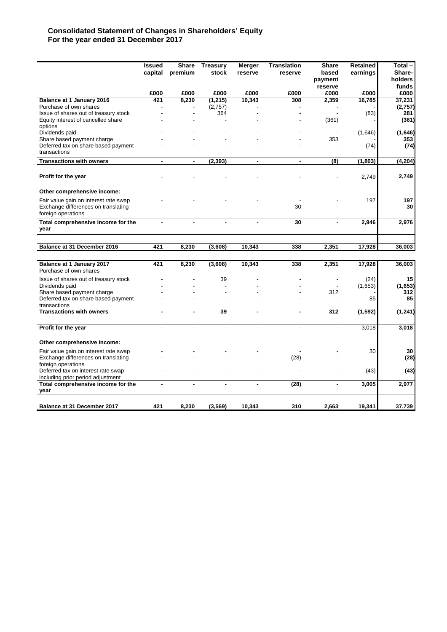## **Consolidated Statement of Changes in Shareholders' Equity For the year ended 31 December 2017**

|                                                           | <b>Issued</b> | <b>Share</b>   | <b>Treasury</b>     | <b>Merger</b>  | <b>Translation</b> | <b>Share</b>             | Retained | Total-            |
|-----------------------------------------------------------|---------------|----------------|---------------------|----------------|--------------------|--------------------------|----------|-------------------|
|                                                           | capital       | premium        | stock               | reserve        | reserve            | based                    | earnings | Share-            |
|                                                           |               |                |                     |                |                    | payment                  |          | holders           |
|                                                           |               |                |                     |                |                    | reserve                  |          | funds             |
|                                                           | £000          | £000           | £000                | £000           | £000               | £000                     | £000     | £000              |
| Balance at 1 January 2016<br>Purchase of own shares       | 421           | 8.230          | (1, 215)<br>(2,757) | 10.343         | 308                | 2,359                    | 16,785   | 37.231<br>(2,757) |
| Issue of shares out of treasury stock                     |               | $\overline{a}$ | 364                 |                |                    |                          | (83)     | 281               |
| Equity interest of cancelled share                        |               |                |                     |                |                    | (361)                    |          | (361)             |
| options                                                   |               |                |                     |                |                    |                          |          |                   |
| Dividends paid                                            |               |                |                     |                |                    |                          | (1,646)  | (1,646)           |
| Share based payment charge                                |               |                |                     |                |                    | 353                      |          | 353               |
| Deferred tax on share based payment                       |               |                |                     |                |                    |                          | (74)     | (74)              |
| transactions                                              |               |                |                     |                |                    |                          |          |                   |
| <b>Transactions with owners</b>                           | ۰             | $\blacksquare$ | (2, 393)            | $\blacksquare$ | $\blacksquare$     | (8)                      | (1, 803) | (4, 204)          |
|                                                           |               |                |                     |                |                    |                          |          |                   |
| Profit for the year                                       |               |                |                     |                |                    |                          | 2,749    | 2,749             |
| Other comprehensive income:                               |               |                |                     |                |                    |                          |          |                   |
| Fair value gain on interest rate swap                     |               |                |                     |                |                    |                          | 197      | 197               |
| Exchange differences on translating                       |               |                |                     |                | 30                 |                          |          | 30                |
| foreign operations                                        |               |                |                     |                |                    |                          |          |                   |
| Total comprehensive income for the<br>year                |               |                |                     |                | 30                 | ä,                       | 2,946    | 2,976             |
|                                                           |               |                |                     |                |                    |                          |          |                   |
| Balance at 31 December 2016                               | 421           | 8,230          | (3,608)             | 10,343         | 338                | 2,351                    | 17,928   | 36,003            |
|                                                           |               |                |                     |                |                    |                          |          |                   |
| Balance at 1 January 2017<br>Purchase of own shares       | 421           | 8,230          | (3,608)             | 10,343         | 338                | 2,351                    | 17,928   | 36,003            |
| Issue of shares out of treasury stock                     |               |                | 39                  |                |                    | $\overline{\phantom{a}}$ | (24)     | 15                |
| Dividends paid                                            |               |                |                     |                |                    |                          | (1,653)  | (1,653)           |
| Share based payment charge                                |               |                |                     |                |                    | 312                      |          | 312               |
| Deferred tax on share based payment                       |               |                |                     |                |                    |                          | 85       | 85                |
| transactions                                              |               |                |                     |                |                    |                          |          |                   |
| <b>Transactions with owners</b>                           |               |                | 39                  |                |                    | 312                      | (1, 592) | (1, 241)          |
|                                                           |               |                |                     |                |                    |                          |          |                   |
| Profit for the year                                       |               |                |                     |                |                    |                          | 3,018    | 3,018             |
| Other comprehensive income:                               |               |                |                     |                |                    |                          |          |                   |
| Fair value gain on interest rate swap                     |               |                |                     |                |                    |                          | 30       | 30                |
| Exchange differences on translating<br>foreign operations |               |                |                     |                | (28)               |                          |          | (28)              |
| Deferred tax on interest rate swap                        |               |                |                     |                |                    |                          | (43)     | (43)              |
| including prior period adjustment                         |               |                |                     |                |                    |                          |          |                   |
| Total comprehensive income for the                        |               |                |                     |                | (28)               | ä,                       | 3,005    | 2,977             |
| year                                                      |               |                |                     |                |                    |                          |          |                   |
|                                                           |               |                |                     |                |                    |                          |          |                   |
| Balance at 31 December 2017                               | 421           | 8,230          | (3, 569)            | 10,343         | 310                | 2,663                    | 19,341   | 37,739            |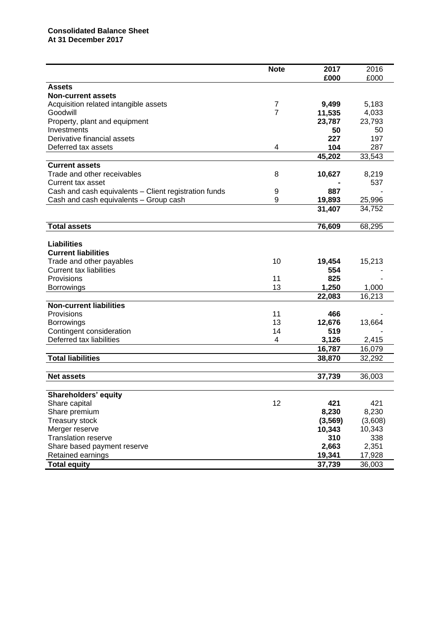|                                                       | <b>Note</b>    | 2017     | 2016    |
|-------------------------------------------------------|----------------|----------|---------|
|                                                       |                | £000     | £000    |
| <b>Assets</b>                                         |                |          |         |
| <b>Non-current assets</b>                             |                |          |         |
| Acquisition related intangible assets                 | 7              | 9,499    | 5,183   |
| Goodwill                                              | $\overline{7}$ | 11,535   | 4,033   |
| Property, plant and equipment                         |                | 23,787   | 23,793  |
| Investments                                           |                | 50       | 50      |
| Derivative financial assets                           |                | 227      | 197     |
| Deferred tax assets                                   | 4              | 104      | 287     |
|                                                       |                |          |         |
|                                                       |                | 45,202   | 33,543  |
| <b>Current assets</b>                                 |                |          |         |
| Trade and other receivables                           | 8              | 10,627   | 8,219   |
| Current tax asset                                     |                |          | 537     |
| Cash and cash equivalents - Client registration funds | 9              | 887      |         |
| Cash and cash equivalents - Group cash                | 9              | 19,893   | 25,996  |
|                                                       |                | 31,407   | 34,752  |
|                                                       |                |          |         |
| <b>Total assets</b>                                   |                | 76,609   | 68,295  |
|                                                       |                |          |         |
| <b>Liabilities</b>                                    |                |          |         |
| <b>Current liabilities</b>                            |                |          |         |
|                                                       |                |          |         |
| Trade and other payables                              | 10             | 19,454   | 15,213  |
| <b>Current tax liabilities</b>                        |                | 554      |         |
| Provisions                                            | 11             | 825      |         |
| <b>Borrowings</b>                                     | 13             | 1,250    | 1,000   |
|                                                       |                | 22,083   | 16,213  |
| <b>Non-current liabilities</b>                        |                |          |         |
| Provisions                                            | 11             | 466      |         |
| <b>Borrowings</b>                                     | 13             | 12,676   | 13,664  |
| Contingent consideration                              | 14             | 519      |         |
| Deferred tax liabilities                              | 4              | 3,126    | 2,415   |
|                                                       |                | 16,787   | 16,079  |
| <b>Total liabilities</b>                              |                |          |         |
|                                                       |                | 38,870   | 32,292  |
|                                                       |                |          |         |
| <b>Net assets</b>                                     |                | 37,739   | 36,003  |
|                                                       |                |          |         |
| <b>Shareholders' equity</b>                           |                |          |         |
| Share capital                                         | 12             | 421      | 421     |
| Share premium                                         |                | 8,230    | 8,230   |
| Treasury stock                                        |                | (3, 569) | (3,608) |
| Merger reserve                                        |                | 10,343   | 10,343  |
| <b>Translation reserve</b>                            |                | 310      | 338     |
|                                                       |                |          |         |
| Share based payment reserve                           |                | 2,663    | 2,351   |
| Retained earnings                                     |                | 19,341   | 17,928  |
| <b>Total equity</b>                                   |                | 37,739   | 36,003  |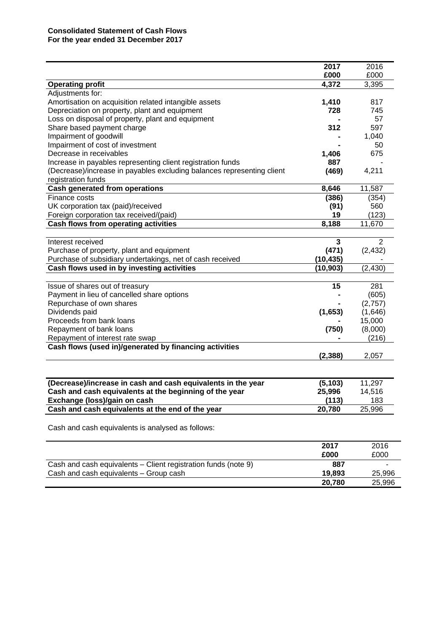|                                                                        | 2017      | 2016     |
|------------------------------------------------------------------------|-----------|----------|
|                                                                        | £000      | £000     |
| <b>Operating profit</b>                                                | 4,372     | 3,395    |
| Adjustments for:                                                       |           |          |
| Amortisation on acquisition related intangible assets                  | 1,410     | 817      |
| Depreciation on property, plant and equipment                          | 728       | 745      |
| Loss on disposal of property, plant and equipment                      |           | 57       |
| Share based payment charge                                             | 312       | 597      |
| Impairment of goodwill                                                 |           | 1,040    |
| Impairment of cost of investment                                       |           | 50       |
| Decrease in receivables                                                | 1,406     | 675      |
| Increase in payables representing client registration funds            | 887       |          |
| (Decrease)/increase in payables excluding balances representing client | (469)     | 4,211    |
| registration funds                                                     |           |          |
| <b>Cash generated from operations</b>                                  | 8,646     | 11,587   |
| Finance costs                                                          | (386)     | (354)    |
| UK corporation tax (paid)/received                                     | (91)      | 560      |
| Foreign corporation tax received/(paid)                                | 19        | (123)    |
| Cash flows from operating activities                                   | 8,188     | 11,670   |
|                                                                        |           |          |
| Interest received                                                      | 3         | 2        |
| Purchase of property, plant and equipment                              | (471)     | (2, 432) |
| Purchase of subsidiary undertakings, net of cash received              | (10, 435) |          |
| Cash flows used in by investing activities                             | (10, 903) | (2, 430) |
|                                                                        |           |          |
| Issue of shares out of treasury                                        | 15        | 281      |
| Payment in lieu of cancelled share options                             |           | (605)    |
| Repurchase of own shares                                               |           | (2,757)  |
| Dividends paid                                                         | (1,653)   | (1,646)  |
| Proceeds from bank loans                                               |           | 15,000   |
| Repayment of bank loans                                                | (750)     | (8,000)  |
| Repayment of interest rate swap                                        |           | (216)    |
| Cash flows (used in)/generated by financing activities                 |           |          |
|                                                                        | (2, 388)  | 2,057    |
|                                                                        |           |          |
| (Decrease)/increase in cash and cash equivalents in the year           | (5, 103)  | 11,297   |
| Cash and cash equivalents at the beginning of the year                 | 25,996    | 14,516   |
| Exchange (loss)/gain on cash                                           | (113)     | 183      |
| Cash and cash equivalents at the end of the year                       | 20,780    | 25,996   |
|                                                                        |           |          |

Cash and cash equivalents is analysed as follows:

|                                                                | 2017<br>£000 | 2016<br>£000 |
|----------------------------------------------------------------|--------------|--------------|
| Cash and cash equivalents – Client registration funds (note 9) | 887          |              |
| Cash and cash equivalents - Group cash                         | 19.893       | 25,996       |
|                                                                | 20.780       | 25,996       |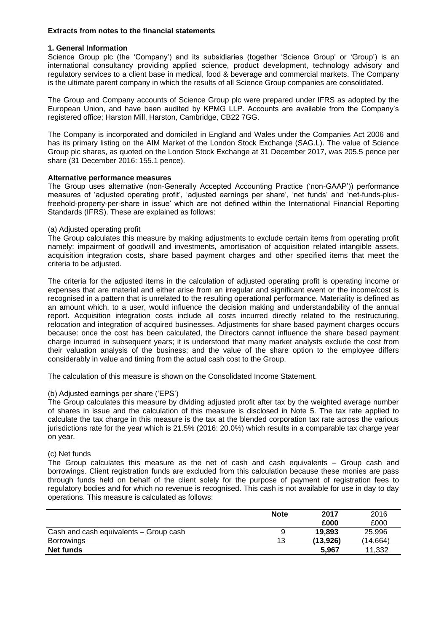## **Extracts from notes to the financial statements**

#### **1. General Information**

Science Group plc (the 'Company') and its subsidiaries (together 'Science Group' or 'Group') is an international consultancy providing applied science, product development, technology advisory and regulatory services to a client base in medical, food & beverage and commercial markets. The Company is the ultimate parent company in which the results of all Science Group companies are consolidated.

The Group and Company accounts of Science Group plc were prepared under IFRS as adopted by the European Union, and have been audited by KPMG LLP. Accounts are available from the Company's registered office; Harston Mill, Harston, Cambridge, CB22 7GG.

The Company is incorporated and domiciled in England and Wales under the Companies Act 2006 and has its primary listing on the AIM Market of the London Stock Exchange (SAG.L). The value of Science Group plc shares, as quoted on the London Stock Exchange at 31 December 2017, was 205.5 pence per share (31 December 2016: 155.1 pence).

## **Alternative performance measures**

The Group uses alternative (non-Generally Accepted Accounting Practice ('non-GAAP')) performance measures of 'adjusted operating profit', 'adjusted earnings per share', 'net funds' and 'net-funds-plusfreehold-property-per-share in issue' which are not defined within the International Financial Reporting Standards (IFRS). These are explained as follows:

## (a) Adjusted operating profit

The Group calculates this measure by making adjustments to exclude certain items from operating profit namely: impairment of goodwill and investments, amortisation of acquisition related intangible assets, acquisition integration costs, share based payment charges and other specified items that meet the criteria to be adjusted.

The criteria for the adjusted items in the calculation of adjusted operating profit is operating income or expenses that are material and either arise from an irregular and significant event or the income/cost is recognised in a pattern that is unrelated to the resulting operational performance. Materiality is defined as an amount which, to a user, would influence the decision making and understandability of the annual report. Acquisition integration costs include all costs incurred directly related to the restructuring, relocation and integration of acquired businesses. Adjustments for share based payment charges occurs because: once the cost has been calculated, the Directors cannot influence the share based payment charge incurred in subsequent years; it is understood that many market analysts exclude the cost from their valuation analysis of the business; and the value of the share option to the employee differs considerably in value and timing from the actual cash cost to the Group.

The calculation of this measure is shown on the Consolidated Income Statement.

#### (b) Adjusted earnings per share ('EPS')

The Group calculates this measure by dividing adjusted profit after tax by the weighted average number of shares in issue and the calculation of this measure is disclosed in Note 5. The tax rate applied to calculate the tax charge in this measure is the tax at the blended corporation tax rate across the various jurisdictions rate for the year which is 21.5% (2016: 20.0%) which results in a comparable tax charge year on year.

#### (c) Net funds

The Group calculates this measure as the net of cash and cash equivalents – Group cash and borrowings. Client registration funds are excluded from this calculation because these monies are pass through funds held on behalf of the client solely for the purpose of payment of registration fees to regulatory bodies and for which no revenue is recognised. This cash is not available for use in day to day operations. This measure is calculated as follows:

|                                        | <b>Note</b> | 2017     | 2016      |
|----------------------------------------|-------------|----------|-----------|
|                                        |             | £000     | £000      |
| Cash and cash equivalents - Group cash | a           | 19,893   | 25.996    |
| <b>Borrowings</b>                      | 13          | (13,926) | (14, 664) |
| <b>Net funds</b>                       |             | 5,967    | 11.332    |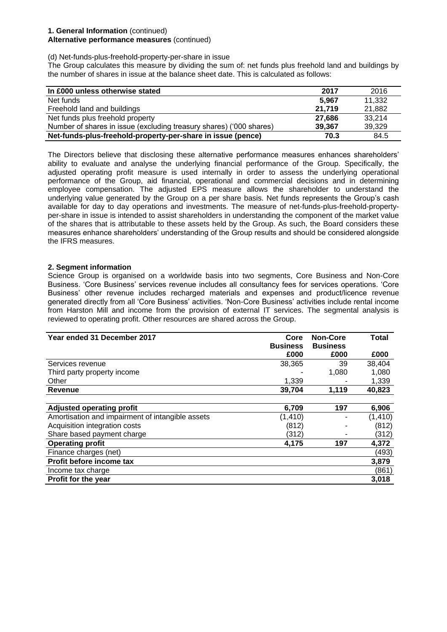## **1. General Information** (continued)

## **Alternative performance measures** (continued)

(d) Net-funds-plus-freehold-property-per-share in issue

The Group calculates this measure by dividing the sum of: net funds plus freehold land and buildings by the number of shares in issue at the balance sheet date. This is calculated as follows:

| In £000 unless otherwise stated                                     | 2017   | 2016   |
|---------------------------------------------------------------------|--------|--------|
| Net funds                                                           | 5.967  | 11,332 |
| Freehold land and buildings                                         | 21.719 | 21,882 |
| Net funds plus freehold property                                    | 27.686 | 33.214 |
| Number of shares in issue (excluding treasury shares) ('000 shares) | 39.367 | 39,329 |
| Net-funds-plus-freehold-property-per-share in issue (pence)         | 70.3   | 84.5   |

The Directors believe that disclosing these alternative performance measures enhances shareholders' ability to evaluate and analyse the underlying financial performance of the Group. Specifically, the adjusted operating profit measure is used internally in order to assess the underlying operational performance of the Group, aid financial, operational and commercial decisions and in determining employee compensation. The adjusted EPS measure allows the shareholder to understand the underlying value generated by the Group on a per share basis. Net funds represents the Group's cash available for day to day operations and investments. The measure of net-funds-plus-freehold-propertyper-share in issue is intended to assist shareholders in understanding the component of the market value of the shares that is attributable to these assets held by the Group. As such, the Board considers these measures enhance shareholders' understanding of the Group results and should be considered alongside the IFRS measures.

#### **2. Segment information**

Science Group is organised on a worldwide basis into two segments, Core Business and Non-Core Business. 'Core Business' services revenue includes all consultancy fees for services operations. 'Core Business' other revenue includes recharged materials and expenses and product/licence revenue generated directly from all 'Core Business' activities. 'Non-Core Business' activities include rental income from Harston Mill and income from the provision of external IT services. The segmental analysis is reviewed to operating profit. Other resources are shared across the Group.

| Year ended 31 December 2017                      | Core            | <b>Non-Core</b> | <b>Total</b> |
|--------------------------------------------------|-----------------|-----------------|--------------|
|                                                  | <b>Business</b> | <b>Business</b> |              |
|                                                  | £000            | £000            | £000         |
| Services revenue                                 | 38,365          | 39              | 38,404       |
| Third party property income                      |                 | 1,080           | 1,080        |
| Other                                            | 1,339           |                 | 1,339        |
| <b>Revenue</b>                                   | 39,704          | 1,119           | 40,823       |
|                                                  |                 |                 |              |
| <b>Adjusted operating profit</b>                 | 6,709           | 197             | 6,906        |
| Amortisation and impairment of intangible assets | (1, 410)        |                 | (1, 410)     |
| Acquisition integration costs                    | (812)           |                 | (812)        |
| Share based payment charge                       | (312)           | ۰               | (312)        |
| <b>Operating profit</b>                          | 4,175           | 197             | 4,372        |
| Finance charges (net)                            |                 |                 | (493)        |
| Profit before income tax                         |                 |                 | 3,879        |
| Income tax charge                                |                 |                 | (861)        |
| Profit for the year                              |                 |                 | 3,018        |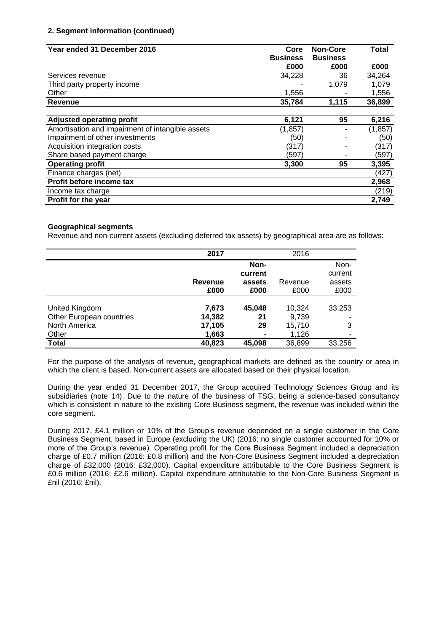## **2. Segment information (continued)**

| Year ended 31 December 2016                      | Core            | <b>Non-Core</b> | <b>Total</b> |
|--------------------------------------------------|-----------------|-----------------|--------------|
|                                                  | <b>Business</b> | <b>Business</b> |              |
|                                                  | £000            | £000            | £000         |
| Services revenue                                 | 34,228          | 36              | 34,264       |
| Third party property income                      |                 | 1,079           | 1,079        |
| Other                                            | 1,556           |                 | 1,556        |
| Revenue                                          | 35,784          | 1,115           | 36,899       |
|                                                  |                 |                 |              |
| <b>Adjusted operating profit</b>                 | 6,121           | 95              | 6,216        |
| Amortisation and impairment of intangible assets | (1, 857)        |                 | (1, 857)     |
| Impairment of other investments                  | (50)            |                 | (50)         |
| Acquisition integration costs                    | (317)           |                 | (317)        |
| Share based payment charge                       | (597)           |                 | (597)        |
| <b>Operating profit</b>                          | 3,300           | 95              | 3,395        |
| Finance charges (net)                            |                 |                 | (427)        |
| Profit before income tax                         |                 |                 | 2,968        |
| Income tax charge                                |                 |                 | (219)        |
| Profit for the year                              |                 |                 | 2,749        |

#### **Geographical segments**

Revenue and non-current assets (excluding deferred tax assets) by geographical area are as follows:

|                          | 2017    |                | 2016    |         |
|--------------------------|---------|----------------|---------|---------|
|                          |         | Non-           |         | Non-    |
|                          |         | current        |         | current |
|                          | Revenue | assets         | Revenue | assets  |
|                          | £000    | £000           | £000    | £000    |
|                          |         |                |         |         |
| United Kingdom           | 7,673   | 45,048         | 10,324  | 33,253  |
| Other European countries | 14,382  | 21             | 9,739   |         |
| North America            | 17,105  | 29             | 15,710  | 3       |
| Other                    | 1,663   | $\blacksquare$ | 1,126   |         |
| <b>Total</b>             | 40,823  | 45,098         | 36,899  | 33,256  |

For the purpose of the analysis of revenue, geographical markets are defined as the country or area in which the client is based. Non-current assets are allocated based on their physical location.

During the year ended 31 December 2017, the Group acquired Technology Sciences Group and its subsidiaries (note 14). Due to the nature of the business of TSG, being a science-based consultancy which is consistent in nature to the existing Core Business segment, the revenue was included within the core segment.

During 2017, £4.1 million or 10% of the Group's revenue depended on a single customer in the Core Business Segment, based in Europe (excluding the UK) (2016: no single customer accounted for 10% or more of the Group's revenue). Operating profit for the Core Business Segment included a depreciation charge of £0.7 million (2016: £0.8 million) and the Non-Core Business Segment included a depreciation charge of £32,000 (2016: £32,000). Capital expenditure attributable to the Core Business Segment is £0.6 million (2016: £2.6 million). Capital expenditure attributable to the Non-Core Business Segment is £nil (2016: £nil).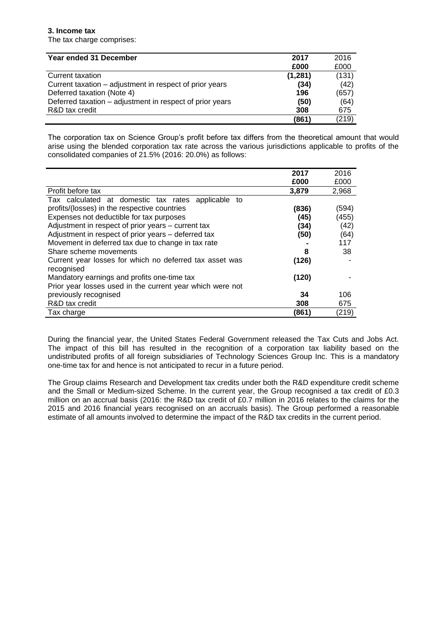## **3. Income tax**

The tax charge comprises:

| Year ended 31 December                                   | 2017    | 2016  |
|----------------------------------------------------------|---------|-------|
|                                                          | £000    | £000  |
| Current taxation                                         | (1,281) | (131) |
| Current taxation – adjustment in respect of prior years  | (34)    | (42)  |
| Deferred taxation (Note 4)                               | 196     | (657) |
| Deferred taxation – adjustment in respect of prior years | (50)    | (64)  |
| R&D tax credit                                           | 308     | 675   |
|                                                          | (861)   | (219) |

The corporation tax on Science Group's profit before tax differs from the theoretical amount that would arise using the blended corporation tax rate across the various jurisdictions applicable to profits of the consolidated companies of 21.5% (2016: 20.0%) as follows:

|                                                                       | 2017  | 2016  |
|-----------------------------------------------------------------------|-------|-------|
|                                                                       | £000  | £000  |
| Profit before tax                                                     | 3,879 | 2,968 |
| Tax calculated at domestic tax rates<br>applicable to                 |       |       |
| profits/(losses) in the respective countries                          | (836) | (594) |
| Expenses not deductible for tax purposes                              | (45)  | (455) |
| Adjustment in respect of prior years – current tax                    | (34)  | (42)  |
| Adjustment in respect of prior years - deferred tax                   | (50)  | (64)  |
| Movement in deferred tax due to change in tax rate                    |       | 117   |
| Share scheme movements                                                | 8     | 38    |
| Current year losses for which no deferred tax asset was<br>recognised | (126) |       |
| Mandatory earnings and profits one-time tax                           | (120) |       |
| Prior year losses used in the current year which were not             |       |       |
| previously recognised                                                 | 34    | 106   |
| R&D tax credit                                                        | 308   | 675   |
| Tax charge                                                            | (861) | (219) |

During the financial year, the United States Federal Government released the Tax Cuts and Jobs Act. The impact of this bill has resulted in the recognition of a corporation tax liability based on the undistributed profits of all foreign subsidiaries of Technology Sciences Group Inc. This is a mandatory one-time tax for and hence is not anticipated to recur in a future period.

The Group claims Research and Development tax credits under both the R&D expenditure credit scheme and the Small or Medium-sized Scheme. In the current year, the Group recognised a tax credit of £0.3 million on an accrual basis (2016: the R&D tax credit of £0.7 million in 2016 relates to the claims for the 2015 and 2016 financial years recognised on an accruals basis). The Group performed a reasonable estimate of all amounts involved to determine the impact of the R&D tax credits in the current period.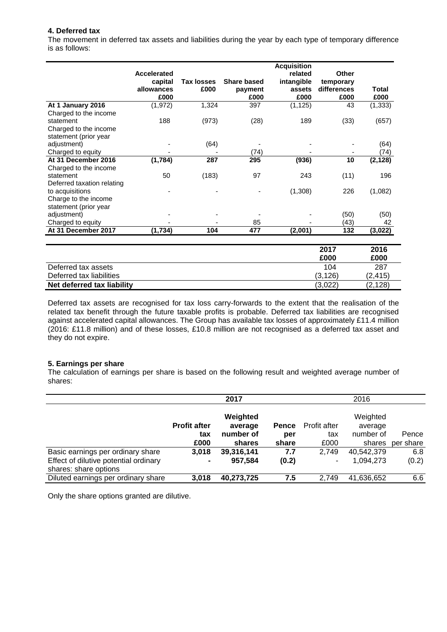## **4. Deferred tax**

The movement in deferred tax assets and liabilities during the year by each type of temporary difference is as follows:

|                            | <b>Accelerated</b><br>capital<br>allowances<br>£000 | <b>Tax losses</b><br>£000 | <b>Share based</b><br>payment<br>£000 | <b>Acquisition</b><br>related<br>intangible<br>assets<br>£000 | Other<br>temporary<br>differences<br>£000 | Total<br>£000 |
|----------------------------|-----------------------------------------------------|---------------------------|---------------------------------------|---------------------------------------------------------------|-------------------------------------------|---------------|
| At 1 January 2016          | (1, 972)                                            | 1,324                     | 397                                   | (1, 125)                                                      | 43                                        | (1, 333)      |
| Charged to the income      |                                                     |                           |                                       |                                                               |                                           |               |
| statement                  | 188                                                 | (973)                     | (28)                                  | 189                                                           | (33)                                      | (657)         |
| Charged to the income      |                                                     |                           |                                       |                                                               |                                           |               |
| statement (prior year      |                                                     |                           |                                       |                                                               |                                           |               |
| adjustment)                |                                                     | (64)                      |                                       |                                                               |                                           | (64)          |
| Charged to equity          |                                                     |                           | (74)                                  |                                                               |                                           | (74)          |
| At 31 December 2016        | (1,784)                                             | 287                       | 295                                   | (936)                                                         | 10                                        | (2, 128)      |
| Charged to the income      |                                                     |                           |                                       |                                                               |                                           |               |
| statement                  | 50                                                  | (183)                     | 97                                    | 243                                                           | (11)                                      | 196           |
| Deferred taxation relating |                                                     |                           |                                       |                                                               |                                           |               |
| to acquisitions            |                                                     |                           |                                       | (1,308)                                                       | 226                                       | (1,082)       |
| Charge to the income       |                                                     |                           |                                       |                                                               |                                           |               |
| statement (prior year      |                                                     |                           |                                       |                                                               |                                           |               |
| adjustment)                |                                                     |                           |                                       |                                                               | (50)                                      | (50)          |
| Charged to equity          |                                                     |                           | 85                                    |                                                               | (43)                                      | 42            |
| At 31 December 2017        | (1,734)                                             | 104                       | 477                                   | (2,001)                                                       | 132                                       | (3,022)       |
|                            |                                                     |                           |                                       |                                                               |                                           |               |

|                            | 2017     | 2016     |
|----------------------------|----------|----------|
|                            | £000     | £000     |
| Deferred tax assets        | 104      | 287      |
| Deferred tax liabilities   | (3, 126) | (2, 415) |
| Net deferred tax liability | (3,022)  | (2, 128) |

Deferred tax assets are recognised for tax loss carry-forwards to the extent that the realisation of the related tax benefit through the future taxable profits is probable. Deferred tax liabilities are recognised against accelerated capital allowances. The Group has available tax losses of approximately £11.4 million (2016: £11.8 million) and of these losses, £10.8 million are not recognised as a deferred tax asset and they do not expire.

#### **5. Earnings per share**

The calculation of earnings per share is based on the following result and weighted average number of shares:

|                                       |                     | 2017                 |              |                     | 2016                 |           |
|---------------------------------------|---------------------|----------------------|--------------|---------------------|----------------------|-----------|
|                                       | <b>Profit after</b> | Weighted             |              |                     | Weighted             |           |
|                                       |                     | average<br>number of | <b>Pence</b> | <b>Profit after</b> | average<br>number of | Pence     |
|                                       | tax                 |                      | per          | tax                 |                      |           |
|                                       | £000                | shares               | share        | £000                | shares               | per share |
| Basic earnings per ordinary share     | 3,018               | 39,316,141           | 7.7          | 2,749               | 40,542,379           | 6.8       |
| Effect of dilutive potential ordinary | $\blacksquare$      | 957,584              | (0.2)        |                     | 1,094,273            | (0.2)     |
| shares: share options                 |                     |                      |              |                     |                      |           |
| Diluted earnings per ordinary share   | 3,018               | 40,273,725           | 7.5          | 2,749               | 41,636,652           | 6.6       |
|                                       |                     |                      |              |                     |                      |           |

Only the share options granted are dilutive.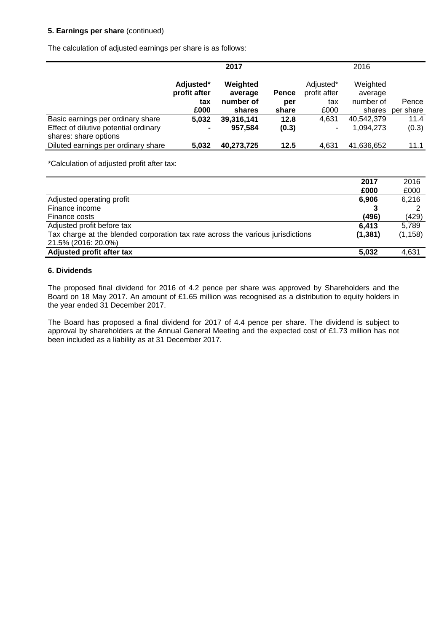## **5. Earnings per share** (continued)

The calculation of adjusted earnings per share is as follows:

|                                                                | 2017                             |                                  |              |                                  | 2016                             |           |
|----------------------------------------------------------------|----------------------------------|----------------------------------|--------------|----------------------------------|----------------------------------|-----------|
|                                                                | Adjusted*<br>profit after<br>tax | Weighted<br>average<br>number of | Pence<br>per | Adjusted*<br>profit after<br>tax | Weighted<br>average<br>number of | Pence     |
|                                                                | £000                             | shares                           | share        | £000                             | shares                           | per share |
| Basic earnings per ordinary share                              | 5.032                            | 39,316,141                       | 12.8         | 4.631                            | 40,542,379                       | 11.4      |
| Effect of dilutive potential ordinary<br>shares: share options | ٠                                | 957,584                          | (0.3)        |                                  | 1,094,273                        | (0.3)     |
| Diluted earnings per ordinary share                            | 5.032                            | 40,273,725                       | 12.5         | 4,631                            | 41,636,652                       | 11.1      |

\*Calculation of adjusted profit after tax:

|                                                                                 | 2017     | 2016     |
|---------------------------------------------------------------------------------|----------|----------|
|                                                                                 | £000     | £000     |
| Adjusted operating profit                                                       | 6,906    | 6,216    |
| Finance income                                                                  |          |          |
| Finance costs                                                                   | (496)    | (429)    |
| Adjusted profit before tax                                                      | 6.413    | 5.789    |
| Tax charge at the blended corporation tax rate across the various jurisdictions | (1, 381) | (1, 158) |
| 21.5% (2016: 20.0%)                                                             |          |          |
| Adjusted profit after tax                                                       | 5,032    | 4.631    |

## **6. Dividends**

The proposed final dividend for 2016 of 4.2 pence per share was approved by Shareholders and the Board on 18 May 2017. An amount of £1.65 million was recognised as a distribution to equity holders in the year ended 31 December 2017.

The Board has proposed a final dividend for 2017 of 4.4 pence per share. The dividend is subject to approval by shareholders at the Annual General Meeting and the expected cost of £1.73 million has not been included as a liability as at 31 December 2017.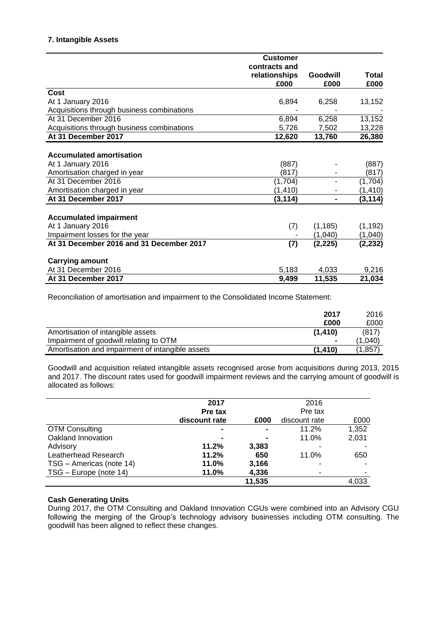## **7. Intangible Assets**

|                                            | <b>Customer</b>       |                  |                      |
|--------------------------------------------|-----------------------|------------------|----------------------|
|                                            | contracts and         |                  |                      |
|                                            | relationships<br>£000 | Goodwill<br>£000 | <b>Total</b><br>£000 |
| Cost                                       |                       |                  |                      |
| At 1 January 2016                          | 6,894                 | 6,258            | 13,152               |
| Acquisitions through business combinations |                       |                  |                      |
| At 31 December 2016                        | 6,894                 | 6,258            | 13,152               |
| Acquisitions through business combinations | 5,726                 | 7,502            | 13,228               |
| At 31 December 2017                        | 12,620                | 13,760           | 26,380               |
|                                            |                       |                  |                      |
| <b>Accumulated amortisation</b>            |                       |                  |                      |
| At 1 January 2016                          | (887)                 |                  | (887)                |
| Amortisation charged in year               | (817)                 |                  | (817)                |
| At 31 December 2016                        | (1, 704)              |                  | (1,704)              |
| Amortisation charged in year               | (1, 410)              |                  | (1, 410)             |
| At 31 December 2017                        | (3,114)               | $\blacksquare$   | (3, 114)             |
|                                            |                       |                  |                      |
| <b>Accumulated impairment</b>              |                       |                  |                      |
| At 1 January 2016                          | (7)                   | (1, 185)         | (1, 192)             |
| Impairment losses for the year             |                       | (1,040)          | (1,040)              |
| At 31 December 2016 and 31 December 2017   | (7)                   | (2, 225)         | (2, 232)             |
| <b>Carrying amount</b>                     |                       |                  |                      |
| At 31 December 2016                        | 5,183                 | 4,033            | 9,216                |
| At 31 December 2017                        | 9,499                 | 11,535           | 21,034               |

Reconciliation of amortisation and impairment to the Consolidated Income Statement:

|                                                  | 2017           | 2016    |
|--------------------------------------------------|----------------|---------|
|                                                  | £000           | £000    |
| Amortisation of intangible assets                | (1, 410)       | (817)   |
| Impairment of goodwill relating to OTM           | $\blacksquare$ | (1.040) |
| Amortisation and impairment of intangible assets | (1.410)        | (1.857) |

Goodwill and acquisition related intangible assets recognised arose from acquisitions during 2013, 2015 and 2017. The discount rates used for goodwill impairment reviews and the carrying amount of goodwill is allocated as follows:

|                          | 2017           |        | 2016          |       |
|--------------------------|----------------|--------|---------------|-------|
|                          | Pre tax        |        | Pre tax       |       |
|                          | discount rate  | £000   | discount rate | £000  |
| <b>OTM Consulting</b>    | $\blacksquare$ |        | 11.2%         | 1,352 |
| Oakland Innovation       | $\blacksquare$ |        | 11.0%         | 2,031 |
| Advisory                 | 11.2%          | 3,383  |               |       |
| Leatherhead Research     | 11.2%          | 650    | 11.0%         | 650   |
| TSG - Americas (note 14) | 11.0%          | 3,166  |               |       |
| TSG - Europe (note 14)   | 11.0%          | 4,336  |               |       |
|                          |                | 11,535 |               | 4.033 |

## **Cash Generating Units**

During 2017, the OTM Consulting and Oakland Innovation CGUs were combined into an Advisory CGU following the merging of the Group's technology advisory businesses including OTM consulting. The goodwill has been aligned to reflect these changes.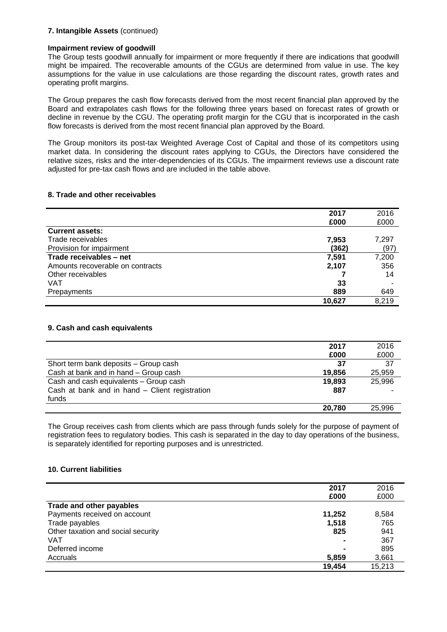## **7. Intangible Assets** (continued)

## **Impairment review of goodwill**

The Group tests goodwill annually for impairment or more frequently if there are indications that goodwill might be impaired. The recoverable amounts of the CGUs are determined from value in use. The key assumptions for the value in use calculations are those regarding the discount rates, growth rates and operating profit margins.

The Group prepares the cash flow forecasts derived from the most recent financial plan approved by the Board and extrapolates cash flows for the following three years based on forecast rates of growth or decline in revenue by the CGU. The operating profit margin for the CGU that is incorporated in the cash flow forecasts is derived from the most recent financial plan approved by the Board.

The Group monitors its post-tax Weighted Average Cost of Capital and those of its competitors using market data. In considering the discount rates applying to CGUs, the Directors have considered the relative sizes, risks and the inter-dependencies of its CGUs. The impairment reviews use a discount rate adjusted for pre-tax cash flows and are included in the table above.

## **8. Trade and other receivables**

|                                  | 2017   | 2016  |
|----------------------------------|--------|-------|
|                                  | £000   | £000  |
| <b>Current assets:</b>           |        |       |
| Trade receivables                | 7,953  | 7,297 |
| Provision for impairment         | (362)  | (97)  |
| Trade receivables - net          | 7,591  | 7,200 |
| Amounts recoverable on contracts | 2,107  | 356   |
| Other receivables                |        | 14    |
| VAT                              | 33     |       |
| Prepayments                      | 889    | 649   |
|                                  | 10,627 | 8,219 |

## **9. Cash and cash equivalents**

|                                                | 2017   | 2016   |
|------------------------------------------------|--------|--------|
|                                                | £000   | £000   |
| Short term bank deposits - Group cash          | 37     | 37     |
| Cash at bank and in hand - Group cash          | 19,856 | 25,959 |
| Cash and cash equivalents - Group cash         | 19,893 | 25,996 |
| Cash at bank and in hand - Client registration | 887    |        |
| funds                                          |        |        |
|                                                | 20.780 | 25.996 |

The Group receives cash from clients which are pass through funds solely for the purpose of payment of registration fees to regulatory bodies. This cash is separated in the day to day operations of the business, is separately identified for reporting purposes and is unrestricted.

## **10. Current liabilities**

|                                    | 2017<br>£000 | 2016<br>£000 |
|------------------------------------|--------------|--------------|
| Trade and other payables           |              |              |
| Payments received on account       | 11,252       | 8,584        |
| Trade payables                     | 1,518        | 765          |
| Other taxation and social security | 825          | 941          |
| <b>VAT</b>                         |              | 367          |
| Deferred income                    |              | 895          |
| Accruals                           | 5,859        | 3,661        |
|                                    | 19,454       | 15,213       |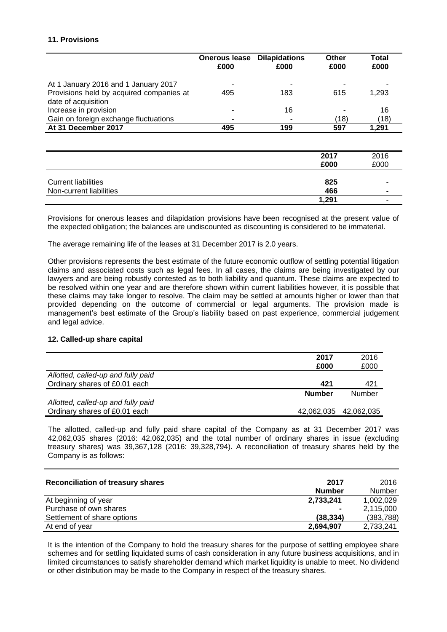## **11. Provisions**

|                                          | <b>Onerous lease</b><br>£000 | <b>Dilapidations</b><br>£000 | Other<br>£000 | <b>Total</b><br>£000 |
|------------------------------------------|------------------------------|------------------------------|---------------|----------------------|
|                                          |                              |                              |               |                      |
| At 1 January 2016 and 1 January 2017     |                              |                              |               |                      |
| Provisions held by acquired companies at | 495                          | 183                          | 615           | 1,293                |
| date of acquisition                      |                              |                              |               |                      |
| Increase in provision                    |                              | 16                           |               | 16                   |
| Gain on foreign exchange fluctuations    |                              |                              | (18)          | (18)                 |
| At 31 December 2017                      | 495                          | 199                          | 597           | 1,291                |
|                                          |                              |                              |               |                      |
|                                          |                              |                              | 2017          | 2016                 |
|                                          |                              |                              | £000          | £000                 |
|                                          |                              |                              |               |                      |
| <b>Current liabilities</b>               |                              |                              | 825           |                      |
| Non-current liabilities                  |                              |                              | 466           |                      |
|                                          |                              |                              | 1,291         |                      |

Provisions for onerous leases and dilapidation provisions have been recognised at the present value of the expected obligation; the balances are undiscounted as discounting is considered to be immaterial.

The average remaining life of the leases at 31 December 2017 is 2.0 years.

Other provisions represents the best estimate of the future economic outflow of settling potential litigation claims and associated costs such as legal fees. In all cases, the claims are being investigated by our lawyers and are being robustly contested as to both liability and quantum. These claims are expected to be resolved within one year and are therefore shown within current liabilities however, it is possible that these claims may take longer to resolve. The claim may be settled at amounts higher or lower than that provided depending on the outcome of commercial or legal arguments. The provision made is management's best estimate of the Group's liability based on past experience, commercial judgement and legal advice.

#### **12. Called-up share capital**

|                                    | 2017          | 2016                  |
|------------------------------------|---------------|-----------------------|
|                                    | £000          | £000                  |
| Allotted, called-up and fully paid |               |                       |
| Ordinary shares of £0.01 each      | 421           | 421                   |
|                                    | <b>Number</b> | Number                |
| Allotted, called-up and fully paid |               |                       |
| Ordinary shares of £0.01 each      |               | 42,062,035 42,062,035 |

The allotted, called-up and fully paid share capital of the Company as at 31 December 2017 was 42,062,035 shares (2016: 42,062,035) and the total number of ordinary shares in issue (excluding treasury shares) was 39,367,128 (2016: 39,328,794). A reconciliation of treasury shares held by the Company is as follows:

| <b>Reconciliation of treasury shares</b> | 2017<br><b>Number</b> | 2016<br><b>Number</b> |
|------------------------------------------|-----------------------|-----------------------|
| At beginning of year                     | 2,733,241             | 1,002,029             |
| Purchase of own shares                   | $\blacksquare$        | 2,115,000             |
| Settlement of share options              | (38, 334)             | (383, 788)            |
| At end of year                           | 2,694,907             | 2,733,241             |

It is the intention of the Company to hold the treasury shares for the purpose of settling employee share schemes and for settling liquidated sums of cash consideration in any future business acquisitions, and in limited circumstances to satisfy shareholder demand which market liquidity is unable to meet. No dividend or other distribution may be made to the Company in respect of the treasury shares.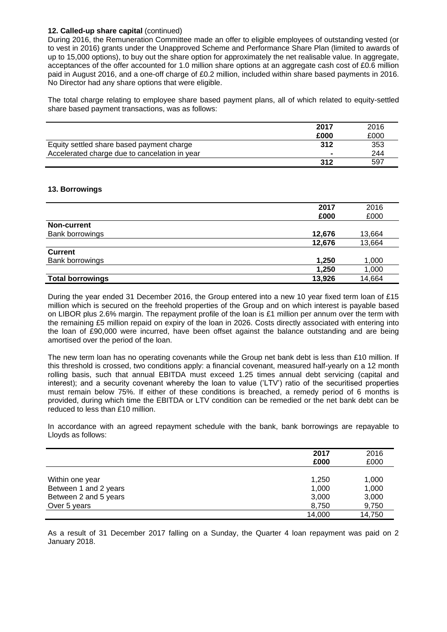## **12. Called-up share capital** (continued)

During 2016, the Remuneration Committee made an offer to eligible employees of outstanding vested (or to vest in 2016) grants under the Unapproved Scheme and Performance Share Plan (limited to awards of up to 15,000 options), to buy out the share option for approximately the net realisable value. In aggregate, acceptances of the offer accounted for 1.0 million share options at an aggregate cash cost of £0.6 million paid in August 2016, and a one-off charge of £0.2 million, included within share based payments in 2016. No Director had any share options that were eligible.

The total charge relating to employee share based payment plans, all of which related to equity-settled share based payment transactions, was as follows:

|                                               | 2017   | 2016 |
|-----------------------------------------------|--------|------|
|                                               | £000   | £000 |
| Equity settled share based payment charge     | 312    | 353  |
| Accelerated charge due to cancelation in year | $\sim$ | 244  |
|                                               | 312    | 597  |

#### **13. Borrowings**

|                         | 2017   | 2016   |
|-------------------------|--------|--------|
|                         | £000   | £000   |
| <b>Non-current</b>      |        |        |
| Bank borrowings         | 12,676 | 13,664 |
|                         | 12,676 | 13,664 |
| <b>Current</b>          |        |        |
| Bank borrowings         | 1,250  | 1,000  |
|                         | 1,250  | 1,000  |
| <b>Total borrowings</b> | 13,926 | 14,664 |

During the year ended 31 December 2016, the Group entered into a new 10 year fixed term loan of £15 million which is secured on the freehold properties of the Group and on which interest is payable based on LIBOR plus 2.6% margin. The repayment profile of the loan is £1 million per annum over the term with the remaining £5 million repaid on expiry of the loan in 2026. Costs directly associated with entering into the loan of £90,000 were incurred, have been offset against the balance outstanding and are being amortised over the period of the loan.

The new term loan has no operating covenants while the Group net bank debt is less than £10 million. If this threshold is crossed, two conditions apply: a financial covenant, measured half-yearly on a 12 month rolling basis, such that annual EBITDA must exceed 1.25 times annual debt servicing (capital and interest); and a security covenant whereby the loan to value ('LTV') ratio of the securitised properties must remain below 75%. If either of these conditions is breached, a remedy period of 6 months is provided, during which time the EBITDA or LTV condition can be remedied or the net bank debt can be reduced to less than £10 million.

In accordance with an agreed repayment schedule with the bank, bank borrowings are repayable to Lloyds as follows:

|                                                                                   | 2017<br>£000                     | 2016<br>£000                     |
|-----------------------------------------------------------------------------------|----------------------------------|----------------------------------|
| Within one year<br>Between 1 and 2 years<br>Between 2 and 5 years<br>Over 5 years | 1,250<br>1,000<br>3,000<br>8,750 | 1,000<br>1,000<br>3,000<br>9,750 |
|                                                                                   | 14,000                           | 14,750                           |

As a result of 31 December 2017 falling on a Sunday, the Quarter 4 loan repayment was paid on 2 January 2018.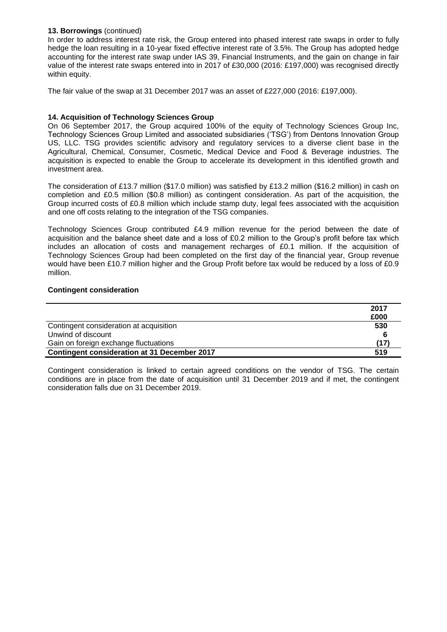## **13. Borrowings** (continued)

In order to address interest rate risk, the Group entered into phased interest rate swaps in order to fully hedge the loan resulting in a 10-year fixed effective interest rate of 3.5%. The Group has adopted hedge accounting for the interest rate swap under IAS 39, Financial Instruments, and the gain on change in fair value of the interest rate swaps entered into in 2017 of £30,000 (2016: £197,000) was recognised directly within equity.

The fair value of the swap at 31 December 2017 was an asset of £227,000 (2016: £197,000).

## **14. Acquisition of Technology Sciences Group**

On 06 September 2017, the Group acquired 100% of the equity of Technology Sciences Group Inc, Technology Sciences Group Limited and associated subsidiaries ('TSG') from Dentons Innovation Group US, LLC. TSG provides scientific advisory and regulatory services to a diverse client base in the Agricultural, Chemical, Consumer, Cosmetic, Medical Device and Food & Beverage industries. The acquisition is expected to enable the Group to accelerate its development in this identified growth and investment area.

The consideration of £13.7 million (\$17.0 million) was satisfied by £13.2 million (\$16.2 million) in cash on completion and £0.5 million (\$0.8 million) as contingent consideration. As part of the acquisition, the Group incurred costs of £0.8 million which include stamp duty, legal fees associated with the acquisition and one off costs relating to the integration of the TSG companies.

Technology Sciences Group contributed £4.9 million revenue for the period between the date of acquisition and the balance sheet date and a loss of £0.2 million to the Group's profit before tax which includes an allocation of costs and management recharges of £0.1 million. If the acquisition of Technology Sciences Group had been completed on the first day of the financial year, Group revenue would have been £10.7 million higher and the Group Profit before tax would be reduced by a loss of £0.9 million.

## **Contingent consideration**

|                                                     | 2017 |
|-----------------------------------------------------|------|
|                                                     | £000 |
| Contingent consideration at acquisition             | 530  |
| Unwind of discount                                  |      |
| Gain on foreign exchange fluctuations               | (17) |
| <b>Contingent consideration at 31 December 2017</b> | 519  |

Contingent consideration is linked to certain agreed conditions on the vendor of TSG. The certain conditions are in place from the date of acquisition until 31 December 2019 and if met, the contingent consideration falls due on 31 December 2019.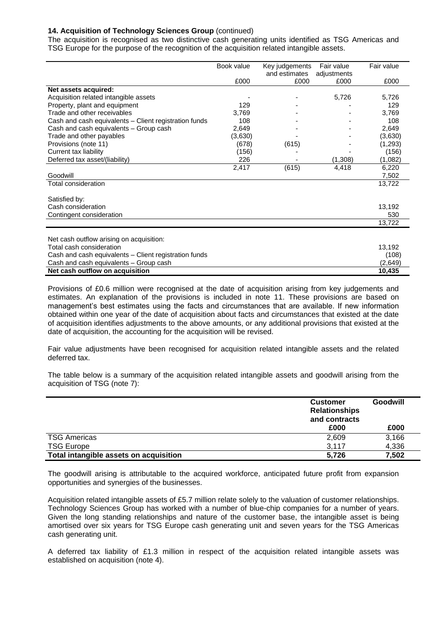## **14. Acquisition of Technology Sciences Group** (continued)

The acquisition is recognised as two distinctive cash generating units identified as TSG Americas and TSG Europe for the purpose of the recognition of the acquisition related intangible assets.

|                                                       | Book value | Key judgements | Fair value  | Fair value |
|-------------------------------------------------------|------------|----------------|-------------|------------|
|                                                       |            | and estimates  | adjustments |            |
|                                                       | £000       | £000           | £000        | £000       |
| Net assets acquired:                                  |            |                |             |            |
| Acquisition related intangible assets                 |            |                | 5,726       | 5,726      |
| Property, plant and equipment                         | 129        |                |             | 129        |
| Trade and other receivables                           | 3,769      |                |             | 3,769      |
| Cash and cash equivalents – Client registration funds | 108        |                |             | 108        |
| Cash and cash equivalents - Group cash                | 2,649      |                |             | 2,649      |
| Trade and other payables                              | (3,630)    |                |             | (3,630)    |
| Provisions (note 11)                                  | (678)      | (615)          |             | (1,293)    |
| Current tax liability                                 | (156)      |                |             | (156)      |
| Deferred tax asset/(liability)                        | 226        |                | (1,308)     | (1,082)    |
|                                                       | 2,417      | (615)          | 4,418       | 6,220      |
| Goodwill                                              |            |                |             | 7,502      |
| Total consideration                                   |            |                |             | 13,722     |
|                                                       |            |                |             |            |
| Satisfied by:                                         |            |                |             |            |
| Cash consideration                                    |            |                |             | 13,192     |
| Contingent consideration                              |            |                |             | 530        |
|                                                       |            |                |             | 13,722     |
|                                                       |            |                |             |            |
| Net cash outflow arising on acquisition:              |            |                |             |            |
| Total cash consideration                              |            |                |             | 13,192     |
| Cash and cash equivalents - Client registration funds |            |                |             | (108)      |
| Cash and cash equivalents - Group cash                |            |                |             | (2,649)    |
| Net cash outflow on acquisition                       |            |                |             | 10,435     |

Provisions of £0.6 million were recognised at the date of acquisition arising from key judgements and estimates. An explanation of the provisions is included in note 11. These provisions are based on management's best estimates using the facts and circumstances that are available. If new information obtained within one year of the date of acquisition about facts and circumstances that existed at the date of acquisition identifies adjustments to the above amounts, or any additional provisions that existed at the date of acquisition, the accounting for the acquisition will be revised.

Fair value adjustments have been recognised for acquisition related intangible assets and the related deferred tax.

The table below is a summary of the acquisition related intangible assets and goodwill arising from the acquisition of TSG (note 7):

|                                        | <b>Customer</b><br><b>Relationships</b><br>and contracts | Goodwill |  |
|----------------------------------------|----------------------------------------------------------|----------|--|
|                                        | £000                                                     | £000     |  |
| <b>TSG Americas</b>                    | 2,609                                                    | 3,166    |  |
| <b>TSG Europe</b>                      | 3.117                                                    | 4,336    |  |
| Total intangible assets on acquisition | 5.726                                                    | 7,502    |  |

The goodwill arising is attributable to the acquired workforce, anticipated future profit from expansion opportunities and synergies of the businesses.

Acquisition related intangible assets of £5.7 million relate solely to the valuation of customer relationships. Technology Sciences Group has worked with a number of blue-chip companies for a number of years. Given the long standing relationships and nature of the customer base, the intangible asset is being amortised over six years for TSG Europe cash generating unit and seven years for the TSG Americas cash generating unit.

A deferred tax liability of £1.3 million in respect of the acquisition related intangible assets was established on acquisition (note 4).